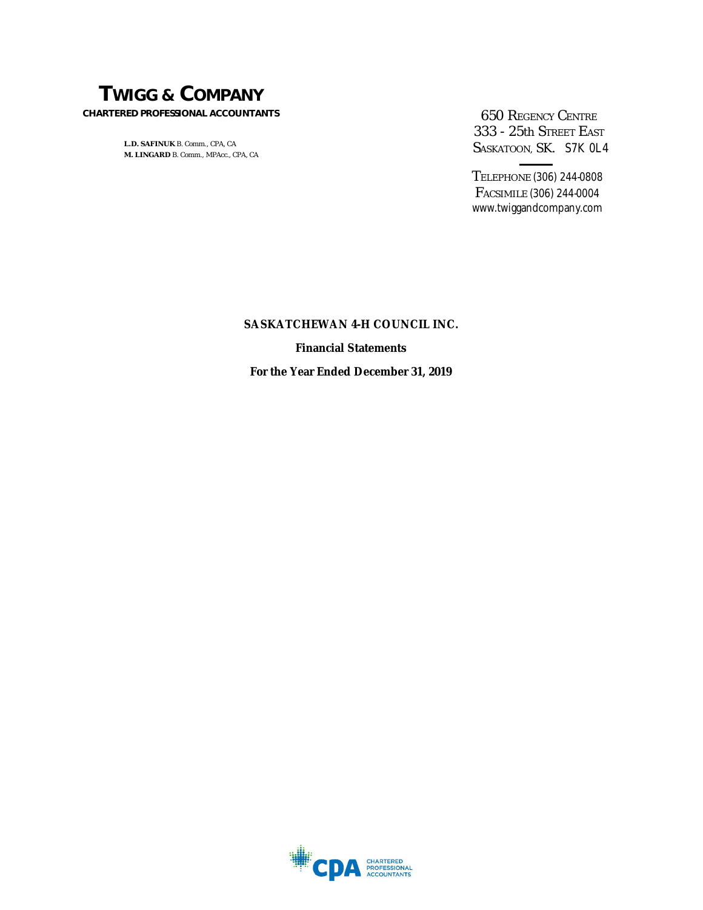**CHARTERED PROFESSIONAL ACCOUNTANTS**

**L.D. SAFINUK** *B. Comm., CPA, CA* **M. LINGARD** *B. Comm., MPAcc., CPA, CA*

 650 REGENCY CENTRE 333 - 25th STREET EAST SASKATOON, SK. S7K 0L4

TELEPHONE (306) 244-0808 FACSIMILE (306) 244-0004 www.twiggandcompany.com

**SASKATCHEWAN 4-H COUNCIL INC.**

**Financial Statements**

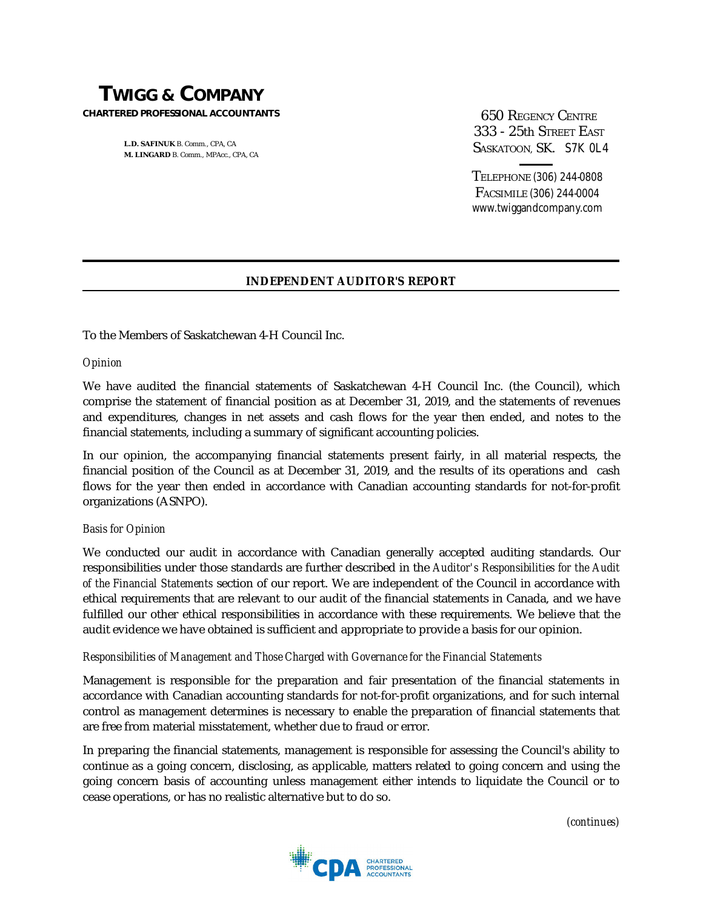**CHARTERED PROFESSIONAL ACCOUNTANTS**

**L.D. SAFINUK** *B. Comm., CPA, CA* **M. LINGARD** *B. Comm., MPAcc., CPA, CA*

 650 REGENCY CENTRE 333 - 25th STREET EAST SASKATOON, SK. S7K 0L4

TELEPHONE (306) 244-0808 FACSIMILE (306) 244-0004 www.twiggandcompany.com

## **INDEPENDENT AUDITOR'S REPORT**

To the Members of Saskatchewan 4-H Council Inc.

*Opinion*

We have audited the financial statements of Saskatchewan 4-H Council Inc. (the Council), which comprise the statement of financial position as at December 31, 2019, and the statements of revenues and expenditures, changes in net assets and cash flows for the year then ended, and notes to the financial statements, including a summary of significant accounting policies.

In our opinion, the accompanying financial statements present fairly, in all material respects, the financial position of the Council as at December 31, 2019, and the results of its operations and cash flows for the year then ended in accordance with Canadian accounting standards for not-for-profit organizations (ASNPO).

### *Basis for Opinion*

We conducted our audit in accordance with Canadian generally accepted auditing standards. Our responsibilities under those standards are further described in the *Auditor's Responsibilities for the Audit of the Financial Statements* section of our report. We are independent of the Council in accordance with ethical requirements that are relevant to our audit of the financial statements in Canada, and we have fulfilled our other ethical responsibilities in accordance with these requirements. We believe that the audit evidence we have obtained is sufficient and appropriate to provide a basis for our opinion.

*Responsibilities of Management and Those Charged with Governance for the Financial Statements*

Management is responsible for the preparation and fair presentation of the financial statements in accordance with Canadian accounting standards for not-for-profit organizations, and for such internal control as management determines is necessary to enable the preparation of financial statements that are free from material misstatement, whether due to fraud or error.

In preparing the financial statements, management is responsible for assessing the Council's ability to continue as a going concern, disclosing, as applicable, matters related to going concern and using the going concern basis of accounting unless management either intends to liquidate the Council or to cease operations, or has no realistic alternative but to do so.



*(continues)*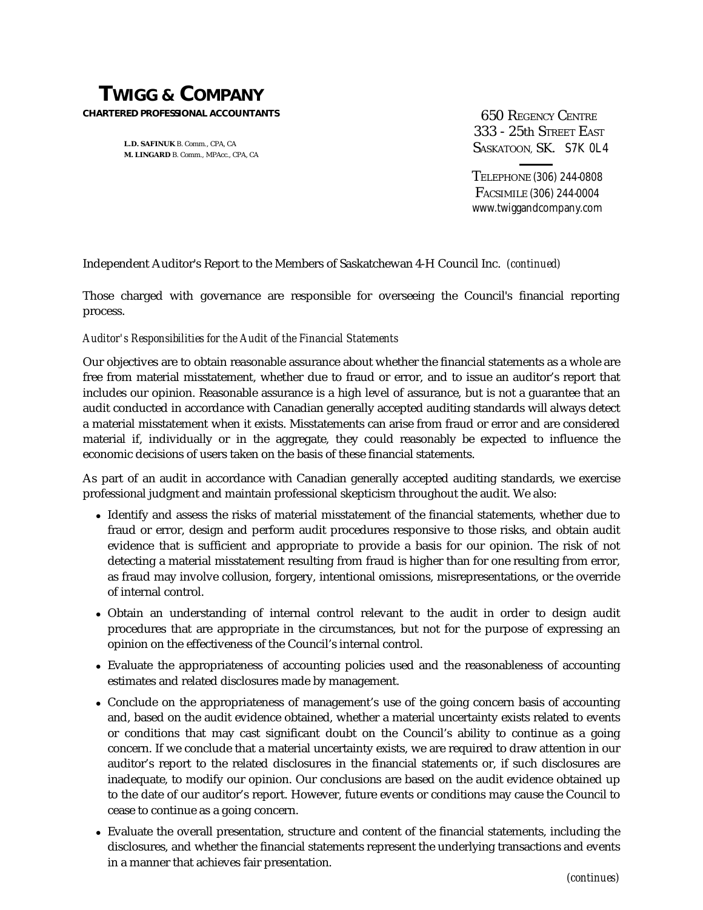**CHARTERED PROFESSIONAL ACCOUNTANTS**

**L.D. SAFINUK** *B. Comm., CPA, CA* **M. LINGARD** *B. Comm., MPAcc., CPA, CA*

 650 REGENCY CENTRE 333 - 25th STREET EAST SASKATOON, SK. S7K 0L4

TELEPHONE (306) 244-0808 FACSIMILE (306) 244-0004 www.twiggandcompany.com

Independent Auditor's Report to the Members of Saskatchewan 4-H Council Inc. *(continued)*

Those charged with governance are responsible for overseeing the Council's financial reporting process.

*Auditor's Responsibilities for the Audit of the Financial Statements*

Our objectives are to obtain reasonable assurance about whether the financial statements as a whole are free from material misstatement, whether due to fraud or error, and to issue an auditor's report that includes our opinion. Reasonable assurance is a high level of assurance, but is not a guarantee that an audit conducted in accordance with Canadian generally accepted auditing standards will always detect a material misstatement when it exists. Misstatements can arise from fraud or error and are considered material if, individually or in the aggregate, they could reasonably be expected to influence the economic decisions of users taken on the basis of these financial statements.

As part of an audit in accordance with Canadian generally accepted auditing standards, we exercise professional judgment and maintain professional skepticism throughout the audit. We also:

- Identify and assess the risks of material misstatement of the financial statements, whether due to fraud or error, design and perform audit procedures responsive to those risks, and obtain audit evidence that is sufficient and appropriate to provide a basis for our opinion. The risk of not detecting a material misstatement resulting from fraud is higher than for one resulting from error, as fraud may involve collusion, forgery, intentional omissions, misrepresentations, or the override of internal control.
- Obtain an understanding of internal control relevant to the audit in order to design audit procedures that are appropriate in the circumstances, but not for the purpose of expressing an opinion on the effectiveness of the Council's internal control.
- Evaluate the appropriateness of accounting policies used and the reasonableness of accounting estimates and related disclosures made by management.
- Conclude on the appropriateness of management's use of the going concern basis of accounting and, based on the audit evidence obtained, whether a material uncertainty exists related to events or conditions that may cast significant doubt on the Council's ability to continue as a going concern. If we conclude that a material uncertainty exists, we are required to draw attention in our auditor's report to the related disclosures in the financial statements or, if such disclosures are inadequate, to modify our opinion. Our conclusions are based on the audit evidence obtained up to the date of our auditor's report. However, future events or conditions may cause the Council to cease to continue as a going concern.
- Evaluate the overall presentation, structure and content of the financial statements, including the disclosures, and whether the financial statements represent the underlying transactions and events in a manner that achieves fair presentation.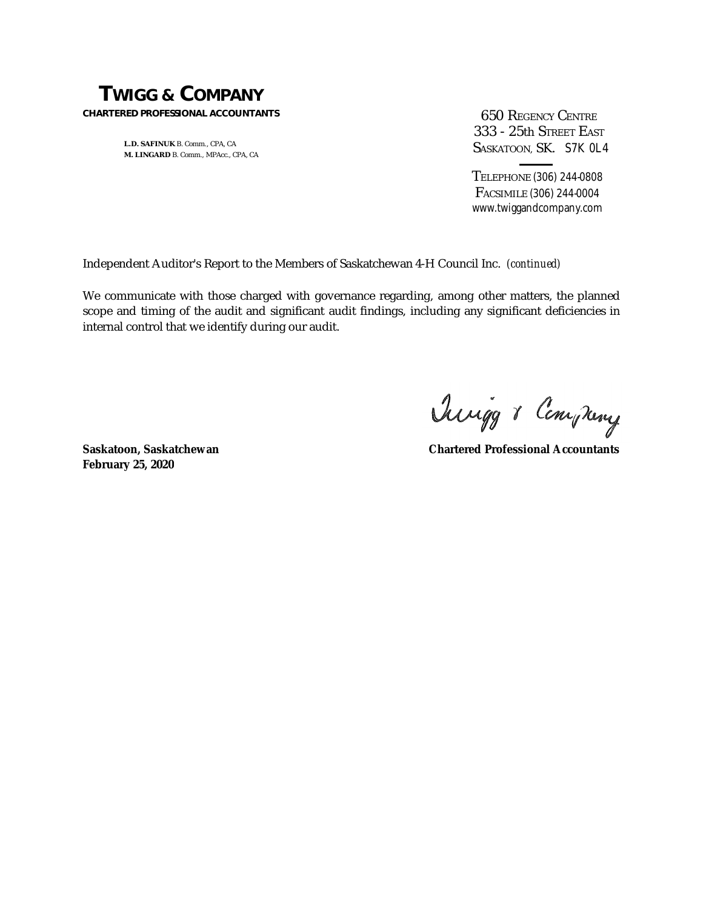**CHARTERED PROFESSIONAL ACCOUNTANTS**

**L.D. SAFINUK** *B. Comm., CPA, CA* **M. LINGARD** *B. Comm., MPAcc., CPA, CA*

 650 REGENCY CENTRE 333 - 25th STREET EAST SASKATOON, SK. S7K 0L4

TELEPHONE (306) 244-0808 FACSIMILE (306) 244-0004 www.twiggandcompany.com

Independent Auditor's Report to the Members of Saskatchewan 4-H Council Inc. *(continued)*

We communicate with those charged with governance regarding, among other matters, the planned scope and timing of the audit and significant audit findings, including any significant deficiencies in internal control that we identify during our audit.

Juigg & Company

**February 25, 2020**

**Saskatoon, Saskatchewan Chartered Professional Accountants**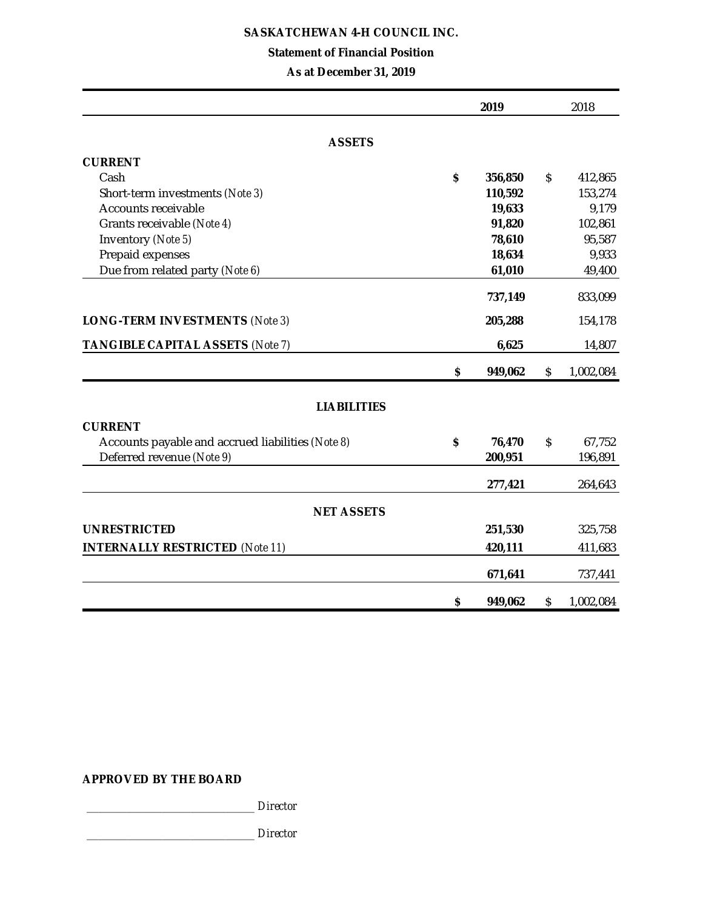## **Statement of Financial Position**

**As at December 31, 2019**

|                                                   |      | 2019    | 2018            |
|---------------------------------------------------|------|---------|-----------------|
| <b>ASSETS</b>                                     |      |         |                 |
| <b>CURRENT</b>                                    |      |         |                 |
| Cash                                              | \$   | 356,850 | \$<br>412,865   |
| Short-term investments (Note 3)                   |      | 110,592 | 153,274         |
| Accounts receivable                               |      | 19,633  | 9,179           |
| Grants receivable (Note 4)                        |      | 91,820  | 102,861         |
| Inventory (Note 5)                                |      | 78,610  | 95,587          |
| Prepaid expenses                                  |      | 18,634  | 9,933           |
| Due from related party (Note 6)                   |      | 61,010  | 49,400          |
|                                                   |      | 737,149 | 833,099         |
| LONG-TERM INVESTMENTS (Note 3)                    |      | 205,288 | 154,178         |
| TANGIBLE CAPITAL ASSETS (Note 7)                  |      | 6,625   | 14,807          |
|                                                   | $\,$ | 949,062 | \$<br>1,002,084 |
|                                                   |      |         |                 |
| <b>LIABILITIES</b>                                |      |         |                 |
| <b>CURRENT</b>                                    |      |         |                 |
| Accounts payable and accrued liabilities (Note 8) | \$   | 76,470  | \$<br>67,752    |
| Deferred revenue (Note 9)                         |      | 200,951 | 196,891         |
|                                                   |      | 277,421 | 264,643         |
| <b>NET ASSETS</b>                                 |      |         |                 |
| <b>UNRESTRICTED</b>                               |      | 251,530 | 325,758         |
| <b>INTERNALLY RESTRICTED (Note 11)</b>            |      | 420,111 | 411,683         |
|                                                   |      |         |                 |
|                                                   |      | 671,641 | 737,441         |
|                                                   | \$   | 949,062 | \$<br>1,002,084 |

## **APPROVED BY THE BOARD**

\_\_\_\_\_\_\_\_\_\_\_\_\_\_\_\_\_\_\_\_\_\_\_\_\_\_\_\_\_ *Director*

\_\_\_\_\_\_\_\_\_\_\_\_\_\_\_\_\_\_\_\_\_\_\_\_\_\_\_\_\_ *Director*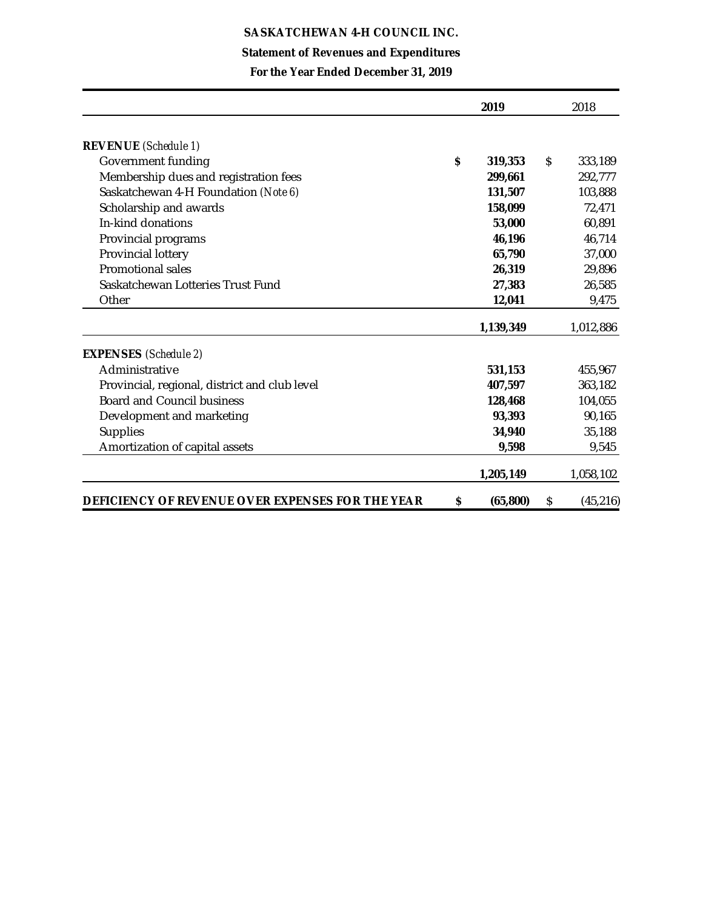## **Statement of Revenues and Expenditures**

|                                                  | 2019            | 2018            |
|--------------------------------------------------|-----------------|-----------------|
|                                                  |                 |                 |
| REVENUE (Schedule 1)                             |                 |                 |
| Government funding                               | \$<br>319,353   | \$<br>333,189   |
| Membership dues and registration fees            | 299,661         | 292,777         |
| Saskatchewan 4-H Foundation (Note 6)             | 131,507         | 103,888         |
| Scholarship and awards                           | 158,099         | 72,471          |
| In-kind donations                                | 53,000          | 60,891          |
| Provincial programs                              | 46,196          | 46,714          |
| Provincial lottery                               | 65,790          | 37,000          |
| <b>Promotional sales</b>                         | 26,319          | 29,896          |
| Saskatchewan Lotteries Trust Fund                | 27,383          | 26,585          |
| Other                                            | 12,041          | 9,475           |
|                                                  | 1,139,349       | 1,012,886       |
| <b>EXPENSES</b> (Schedule 2)                     |                 |                 |
| Administrative                                   | 531,153         | 455,967         |
| Provincial, regional, district and club level    | 407,597         | 363,182         |
| <b>Board and Council business</b>                | 128,468         | 104,055         |
| Development and marketing                        | 93,393          | 90,165          |
| Supplies                                         | 34,940          | 35,188          |
| Amortization of capital assets                   | 9,598           | 9,545           |
|                                                  | 1,205,149       | 1,058,102       |
| DEFICIENCY OF REVENUE OVER EXPENSES FOR THE YEAR | \$<br>(65, 800) | \$<br>(45, 216) |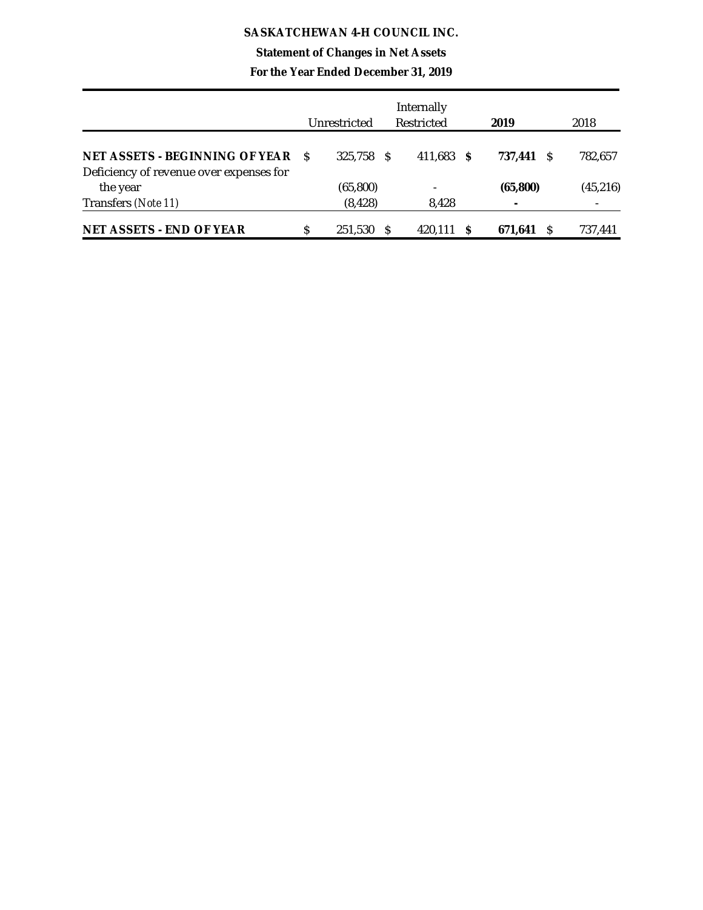**Statement of Changes in Net Assets**

|                                                                              | Unrestricted |      | Internally<br>Restricted | 2019                     | 2018      |
|------------------------------------------------------------------------------|--------------|------|--------------------------|--------------------------|-----------|
| NET ASSETS - BEGINNING OF YEAR \$<br>Deficiency of revenue over expenses for | 325,758      | - \$ | 411.683 \$               | 737.441<br>-S            | 782,657   |
| the year                                                                     | (65,800)     |      |                          | (65,800)                 | (45, 216) |
| Transfers (Note 11)                                                          | (8, 428)     |      | 8,428                    | $\overline{\phantom{a}}$ |           |
| NET ASSETS - END OF YEAR                                                     | 251,530      | -\$  | 420.111 \$               | 671.641<br>-S            | 737,441   |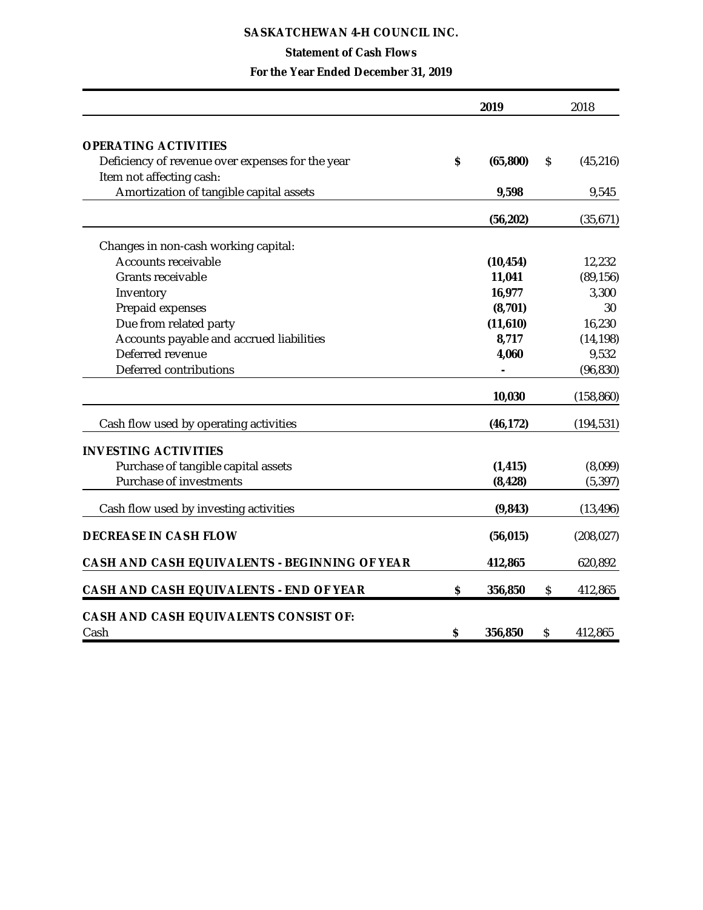#### **Statement of Cash Flows**

|                                                                                 | 2019           | 2018            |
|---------------------------------------------------------------------------------|----------------|-----------------|
|                                                                                 |                |                 |
| <b>OPERATING ACTIVITIES</b><br>Deficiency of revenue over expenses for the year | \$<br>(65,800) | \$<br>(45, 216) |
| Item not affecting cash:                                                        |                |                 |
| Amortization of tangible capital assets                                         | 9,598          | 9,545           |
|                                                                                 | (56, 202)      | (35, 671)       |
| Changes in non-cash working capital:                                            |                |                 |
| Accounts receivable                                                             | (10, 454)      | 12,232          |
| Grants receivable                                                               | 11,041         | (89, 156)       |
| Inventory                                                                       | 16,977         | 3,300           |
| Prepaid expenses                                                                | (8,701)        | 30              |
| Due from related party                                                          | (11,610)       | 16,230          |
| Accounts payable and accrued liabilities                                        | 8,717          | (14, 198)       |
| Deferred revenue                                                                | 4,060          | 9,532           |
| Deferred contributions                                                          |                | (96, 830)       |
|                                                                                 | 10,030         | (158, 860)      |
| Cash flow used by operating activities                                          | (46, 172)      | (194, 531)      |
| <b>INVESTING ACTIVITIES</b>                                                     |                |                 |
| Purchase of tangible capital assets                                             | (1, 415)       | (8,099)         |
| Purchase of investments                                                         | (8, 428)       | (5, 397)        |
| Cash flow used by investing activities                                          | (9,843)        | (13, 496)       |
| DECREASE IN CASH FLOW                                                           | (56, 015)      | (208, 027)      |
| CASH AND CASH EQUIVALENTS - BEGINNING OF YEAR                                   | 412,865        | 620,892         |
| CASH AND CASH EQUIVALENTS - END OF YEAR                                         | \$<br>356,850  | \$<br>412,865   |
| CASH AND CASH EQUIVALENTS CONSIST OF:                                           |                |                 |
| Cash                                                                            | \$<br>356,850  | \$<br>412,865   |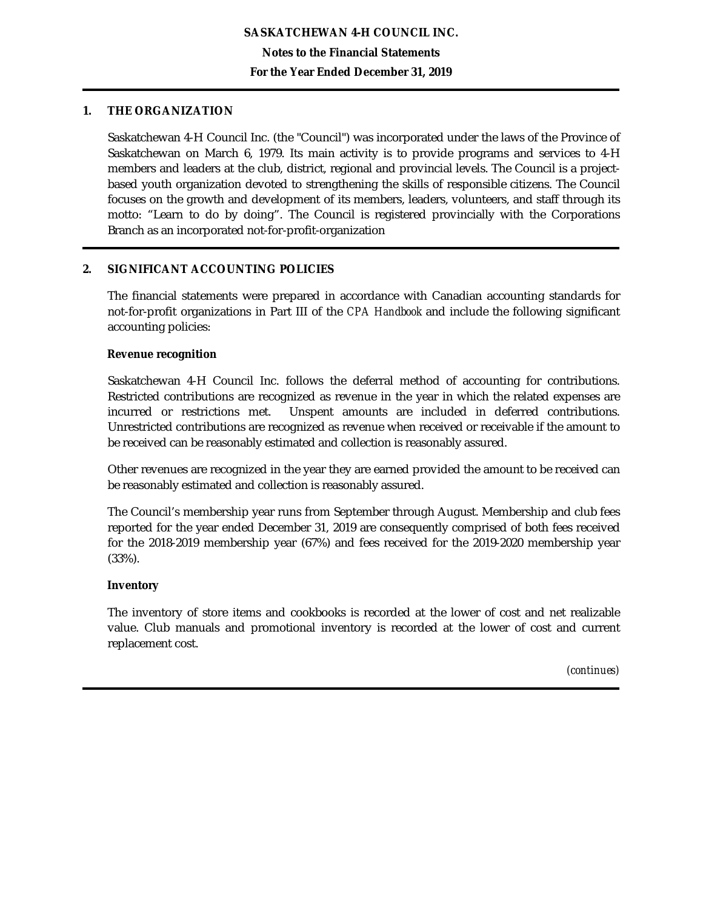### **1. THE ORGANIZATION**

Saskatchewan 4-H Council Inc. (the "Council") was incorporated under the laws of the Province of Saskatchewan on March 6, 1979. Its main activity is to provide programs and services to 4-H members and leaders at the club, district, regional and provincial levels. The Council is a projectbased youth organization devoted to strengthening the skills of responsible citizens. The Council focuses on the growth and development of its members, leaders, volunteers, and staff through its motto: "Learn to do by doing". The Council is registered provincially with the Corporations Branch as an incorporated not-for-profit-organization

## **2. SIGNIFICANT ACCOUNTING POLICIES**

The financial statements were prepared in accordance with Canadian accounting standards for not-for-profit organizations in Part III of the *CPA Handbook* and include the following significant accounting policies:

### **Revenue recognition**

Saskatchewan 4-H Council Inc. follows the deferral method of accounting for contributions. Restricted contributions are recognized as revenue in the year in which the related expenses are incurred or restrictions met. Unspent amounts are included in deferred contributions. Unrestricted contributions are recognized as revenue when received or receivable if the amount to be received can be reasonably estimated and collection is reasonably assured.

Other revenues are recognized in the year they are earned provided the amount to be received can be reasonably estimated and collection is reasonably assured.

The Council's membership year runs from September through August. Membership and club fees reported for the year ended December 31, 2019 are consequently comprised of both fees received for the 2018-2019 membership year (67%) and fees received for the 2019-2020 membership year (33%).

### **Inventory**

The inventory of store items and cookbooks is recorded at the lower of cost and net realizable value. Club manuals and promotional inventory is recorded at the lower of cost and current replacement cost.

*(continues)*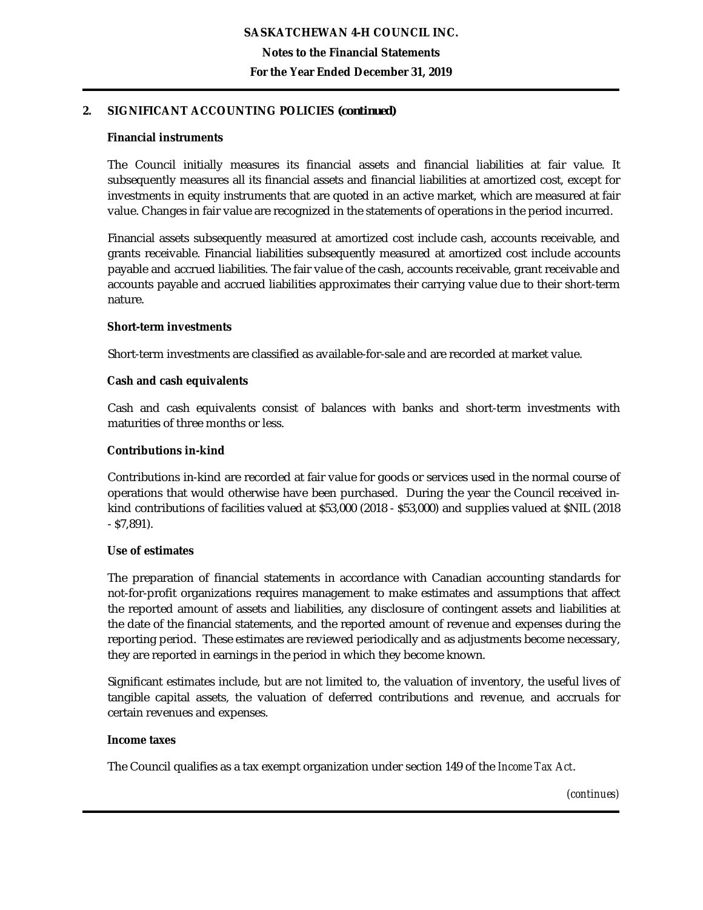## **2. SIGNIFICANT ACCOUNTING POLICIES** *(continued)*

#### **Financial instruments**

The Council initially measures its financial assets and financial liabilities at fair value. It subsequently measures all its financial assets and financial liabilities at amortized cost, except for investments in equity instruments that are quoted in an active market, which are measured at fair value. Changes in fair value are recognized in the statements of operations in the period incurred.

Financial assets subsequently measured at amortized cost include cash, accounts receivable, and grants receivable. Financial liabilities subsequently measured at amortized cost include accounts payable and accrued liabilities. The fair value of the cash, accounts receivable, grant receivable and accounts payable and accrued liabilities approximates their carrying value due to their short-term nature.

#### **Short-term investments**

Short-term investments are classified as available-for-sale and are recorded at market value.

#### **Cash and cash equivalents**

Cash and cash equivalents consist of balances with banks and short-term investments with maturities of three months or less.

#### **Contributions in-kind**

Contributions in-kind are recorded at fair value for goods or services used in the normal course of operations that would otherwise have been purchased. During the year the Council received inkind contributions of facilities valued at \$53,000 (2018 - \$53,000) and supplies valued at \$NIL (2018 - \$7,891).

### **Use of estimates**

The preparation of financial statements in accordance with Canadian accounting standards for not-for-profit organizations requires management to make estimates and assumptions that affect the reported amount of assets and liabilities, any disclosure of contingent assets and liabilities at the date of the financial statements, and the reported amount of revenue and expenses during the reporting period. These estimates are reviewed periodically and as adjustments become necessary, they are reported in earnings in the period in which they become known.

Significant estimates include, but are not limited to, the valuation of inventory, the useful lives of tangible capital assets, the valuation of deferred contributions and revenue, and accruals for certain revenues and expenses.

#### **Income taxes**

The Council qualifies as a tax exempt organization under section 149 of the *Income Tax Act*.

*(continues)*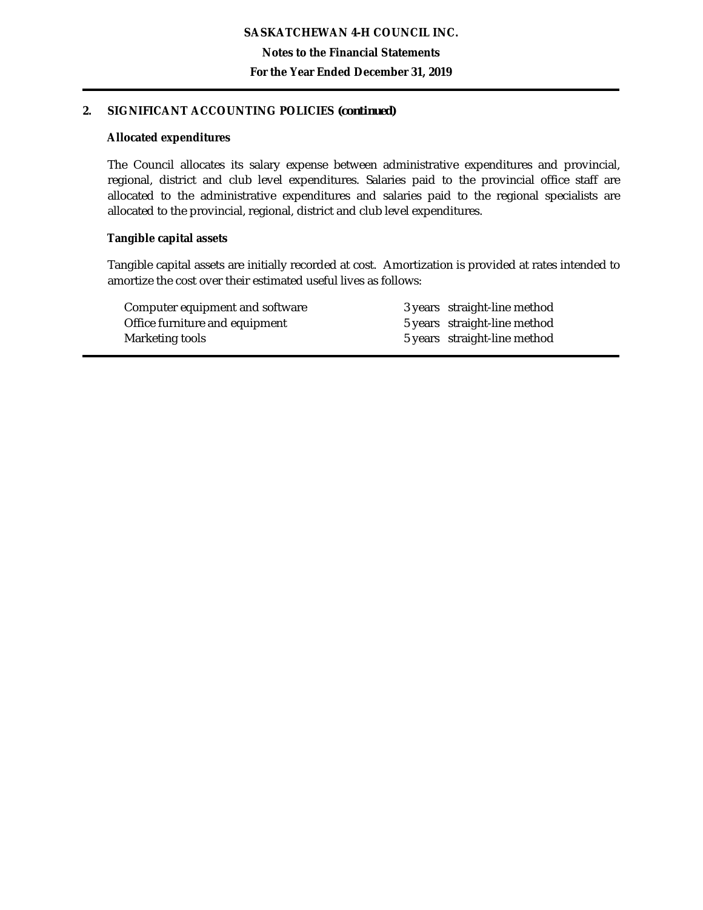## **2. SIGNIFICANT ACCOUNTING POLICIES** *(continued)*

**Allocated expenditures**

The Council allocates its salary expense between administrative expenditures and provincial, regional, district and club level expenditures. Salaries paid to the provincial office staff are allocated to the administrative expenditures and salaries paid to the regional specialists are allocated to the provincial, regional, district and club level expenditures.

### **Tangible capital assets**

Tangible capital assets are initially recorded at cost. Amortization is provided at rates intended to amortize the cost over their estimated useful lives as follows:

| Computer equipment and software | 3 years straight-line method |
|---------------------------------|------------------------------|
| Office furniture and equipment  | 5 years straight-line method |
| Marketing tools                 | 5 years straight-line method |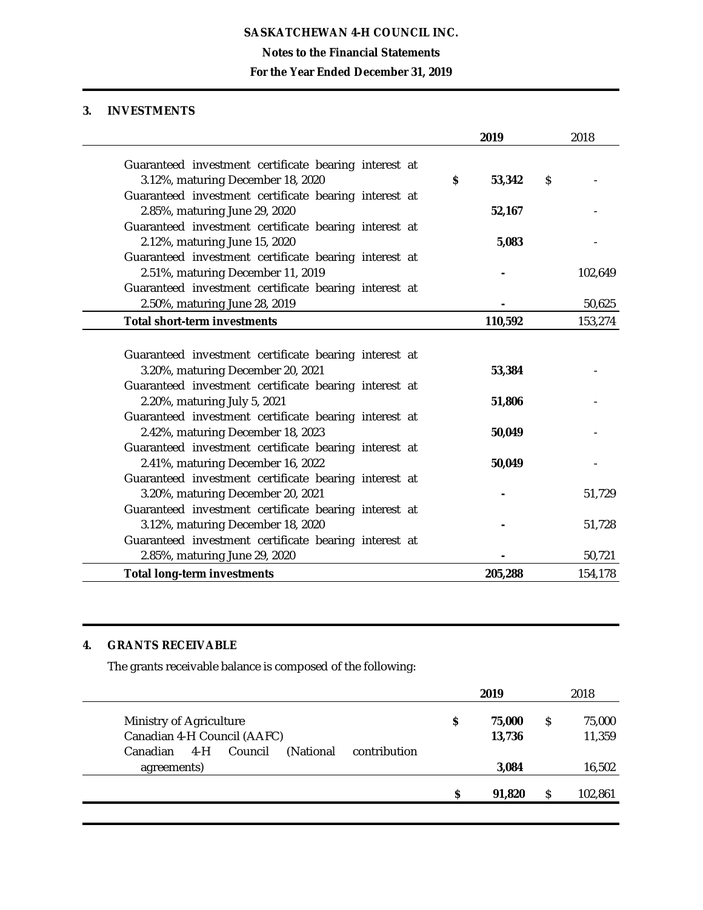### **Notes to the Financial Statements**

**For the Year Ended December 31, 2019**

## **3. INVESTMENTS**

|                                                       | 2019         | 2018    |
|-------------------------------------------------------|--------------|---------|
| Guaranteed investment certificate bearing interest at |              |         |
| 3.12%, maturing December 18, 2020                     | \$<br>53,342 | \$      |
| Guaranteed investment certificate bearing interest at |              |         |
| 2.85%, maturing June 29, 2020                         | 52,167       |         |
| Guaranteed investment certificate bearing interest at |              |         |
| 2.12%, maturing June 15, 2020                         | 5,083        |         |
| Guaranteed investment certificate bearing interest at |              |         |
| 2.51%, maturing December 11, 2019                     |              | 102,649 |
| Guaranteed investment certificate bearing interest at |              |         |
| 2.50%, maturing June 28, 2019                         |              | 50,625  |
| Total short-term investments                          | 110,592      | 153,274 |
|                                                       |              |         |
| Guaranteed investment certificate bearing interest at |              |         |
| 3.20%, maturing December 20, 2021                     | 53,384       |         |
| Guaranteed investment certificate bearing interest at |              |         |
| 2.20%, maturing July 5, 2021                          | 51,806       |         |
| Guaranteed investment certificate bearing interest at |              |         |
| 2.42%, maturing December 18, 2023                     | 50,049       |         |
| Guaranteed investment certificate bearing interest at |              |         |
| 2.41%, maturing December 16, 2022                     | 50,049       |         |
| Guaranteed investment certificate bearing interest at |              |         |
| 3.20%, maturing December 20, 2021                     |              | 51,729  |
| Guaranteed investment certificate bearing interest at |              |         |
| 3.12%, maturing December 18, 2020                     |              | 51,728  |
| Guaranteed investment certificate bearing interest at |              |         |
| 2.85%, maturing June 29, 2020                         |              | 50,721  |
| Total long-term investments                           | 205,288      | 154,178 |

## **4. GRANTS RECEIVABLE**

The grants receivable balance is composed of the following:

| Ministry of Agriculture<br>75,000<br>\$<br>Canadian 4-H Council (AAFC)<br>13,736<br>(National<br>4-H<br>contribution<br>Canadian<br>Council | 2018                   |  |
|---------------------------------------------------------------------------------------------------------------------------------------------|------------------------|--|
|                                                                                                                                             | 75,000<br>\$<br>11,359 |  |
|                                                                                                                                             |                        |  |
| agreements)<br>3,084                                                                                                                        | 16,502                 |  |
| 91.820<br>\$.                                                                                                                               | 102,861<br>\$          |  |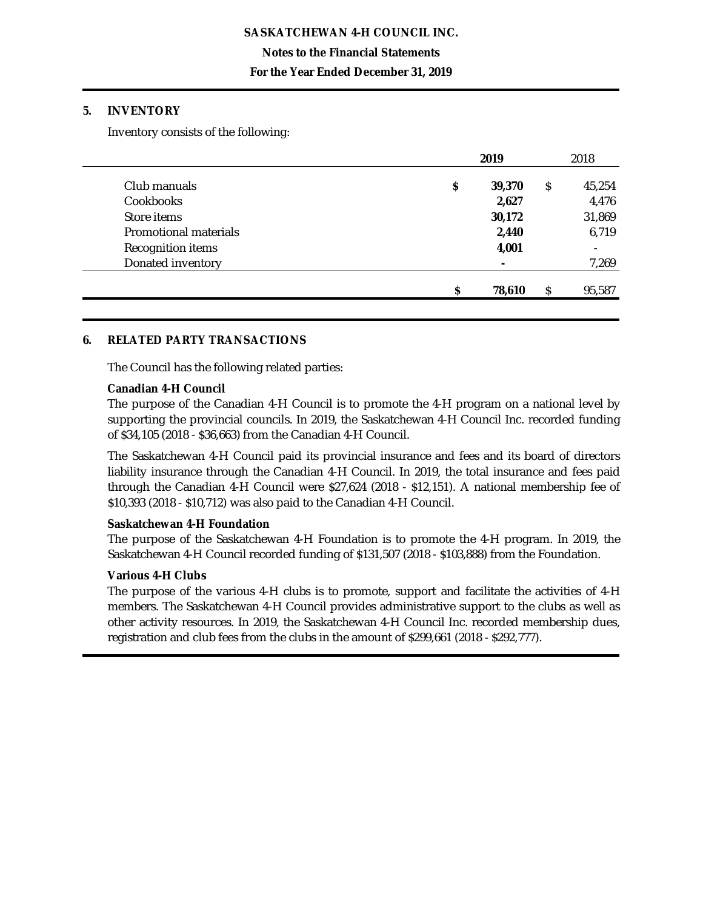**Notes to the Financial Statements**

**For the Year Ended December 31, 2019**

## **5. INVENTORY**

Inventory consists of the following:

|                       | 2019                     | 2018         |  |
|-----------------------|--------------------------|--------------|--|
| Club manuals          | 39,370                   | \$<br>45,254 |  |
| Cookbooks             | \$<br>2,627              | 4,476        |  |
| Store items           | 30,172                   | 31,869       |  |
| Promotional materials | 2,440                    | 6,719        |  |
| Recognition items     | 4,001                    |              |  |
| Donated inventory     | $\overline{\phantom{a}}$ | 7,269        |  |
|                       |                          |              |  |
|                       | \$<br>78,610             | \$<br>95,587 |  |

## **6. RELATED PARTY TRANSACTIONS**

The Council has the following related parties:

### **Canadian 4-H Council**

The purpose of the Canadian 4-H Council is to promote the 4-H program on a national level by supporting the provincial councils. In 2019, the Saskatchewan 4-H Council Inc. recorded funding of \$34,105 (2018 - \$36,663) from the Canadian 4-H Council.

The Saskatchewan 4-H Council paid its provincial insurance and fees and its board of directors liability insurance through the Canadian 4-H Council. In 2019, the total insurance and fees paid through the Canadian 4-H Council were \$27,624 (2018 - \$12,151). A national membership fee of \$10,393 (2018 - \$10,712) was also paid to the Canadian 4-H Council.

### **Saskatchewan 4-H Foundation**

The purpose of the Saskatchewan 4-H Foundation is to promote the 4-H program. In 2019, the Saskatchewan 4-H Council recorded funding of \$131,507 (2018 - \$103,888) from the Foundation.

## **Various 4-H Clubs**

The purpose of the various 4-H clubs is to promote, support and facilitate the activities of 4-H members. The Saskatchewan 4-H Council provides administrative support to the clubs as well as other activity resources. In 2019, the Saskatchewan 4-H Council Inc. recorded membership dues, registration and club fees from the clubs in the amount of \$299,661 (2018 - \$292,777).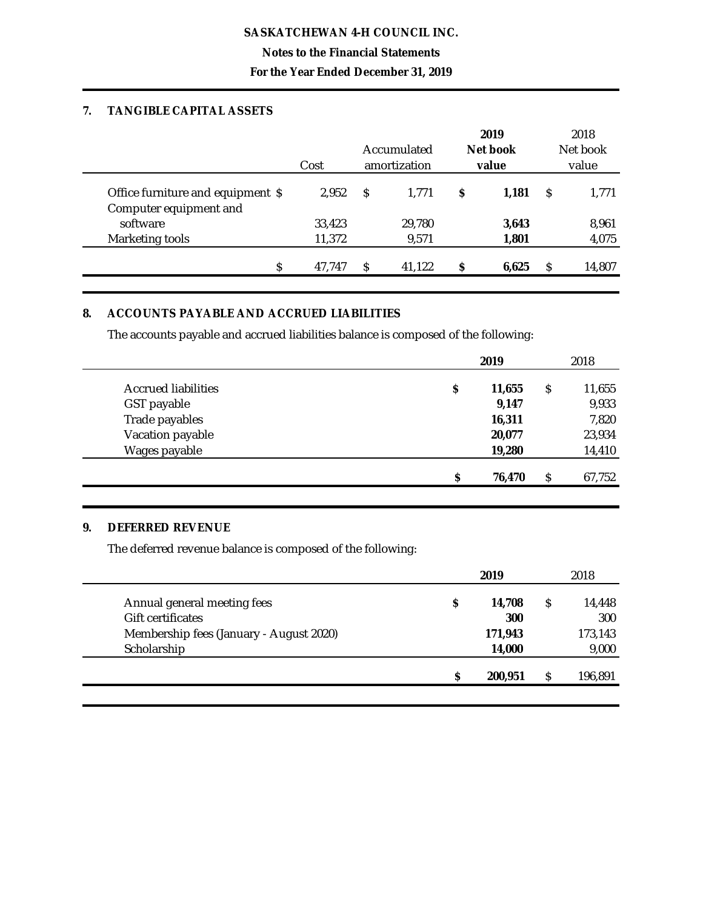## **Notes to the Financial Statements**

**For the Year Ended December 31, 2019**

## **7. TANGIBLE CAPITAL ASSETS**

|                                                             | Cost   | Accumulated<br>amortization | 2019<br>Net book<br>value | 2018<br>Net book<br>value |
|-------------------------------------------------------------|--------|-----------------------------|---------------------------|---------------------------|
| Office furniture and equipment \$<br>Computer equipment and | 2.952  | \$<br>1.771                 | \$<br>1,181               | \$<br>1,771               |
| software                                                    | 33,423 | 29,780                      | 3,643                     | 8,961                     |
| Marketing tools                                             | 11,372 | 9,571                       | 1,801                     | 4,075                     |
| \$                                                          | 47.747 | 41,122                      | \$<br>6,625               | \$<br>14,807              |

## **8. ACCOUNTS PAYABLE AND ACCRUED LIABILITIES**

The accounts payable and accrued liabilities balance is composed of the following:

|                            | 2019         | 2018         |  |
|----------------------------|--------------|--------------|--|
| <b>Accrued liabilities</b> | \$<br>11,655 | \$<br>11,655 |  |
| GST payable                | 9,147        | 9,933        |  |
| Trade payables             | 16,311       | 7,820        |  |
| Vacation payable           | 20,077       | 23,934       |  |
| Wages payable              | 19,280       | 14,410       |  |
|                            | \$<br>76,470 | \$<br>67,752 |  |
|                            |              |              |  |

## **9. DEFERRED REVENUE**

The deferred revenue balance is composed of the following:

|                                         | 2019          | 2018    |  |
|-----------------------------------------|---------------|---------|--|
| Annual general meeting fees             | \$<br>14,708  | 14,448  |  |
| Gift certificates                       | 300           | 300     |  |
| Membership fees (January - August 2020) | 171,943       | 173,143 |  |
| Scholarship                             | 14,000        | 9,000   |  |
|                                         | \$<br>200,951 | 196,891 |  |
|                                         |               |         |  |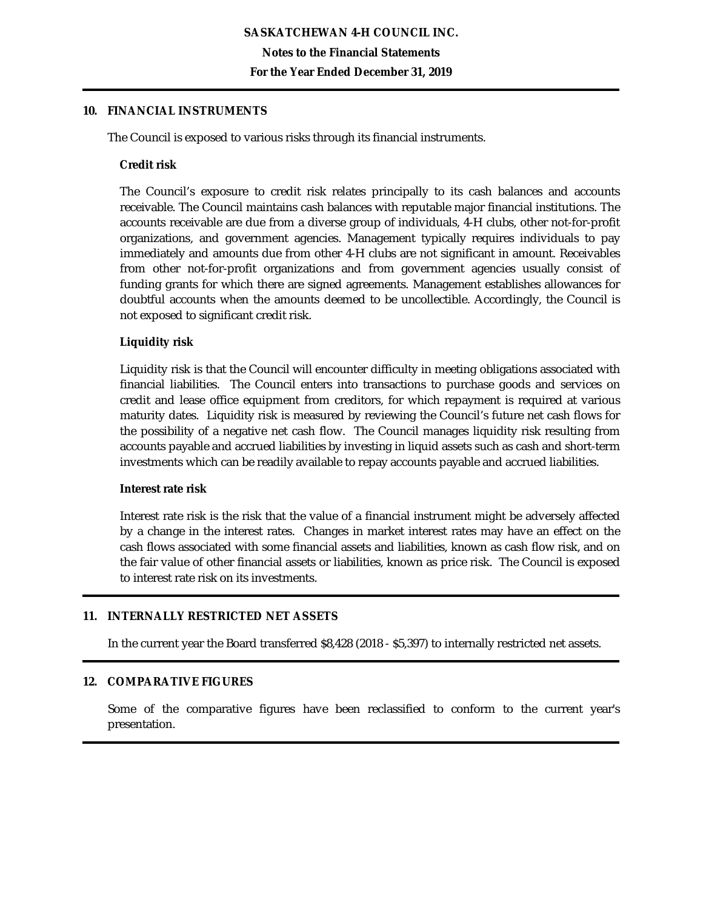## **SASKATCHEWAN 4-H COUNCIL INC. Notes to the Financial Statements For the Year Ended December 31, 2019**

### **10. FINANCIAL INSTRUMENTS**

The Council is exposed to various risks through its financial instruments.

**Credit risk**

The Council's exposure to credit risk relates principally to its cash balances and accounts receivable. The Council maintains cash balances with reputable major financial institutions. The accounts receivable are due from a diverse group of individuals, 4-H clubs, other not-for-profit organizations, and government agencies. Management typically requires individuals to pay immediately and amounts due from other 4-H clubs are not significant in amount. Receivables from other not-for-profit organizations and from government agencies usually consist of funding grants for which there are signed agreements. Management establishes allowances for doubtful accounts when the amounts deemed to be uncollectible. Accordingly, the Council is not exposed to significant credit risk.

### **Liquidity risk**

Liquidity risk is that the Council will encounter difficulty in meeting obligations associated with financial liabilities. The Council enters into transactions to purchase goods and services on credit and lease office equipment from creditors, for which repayment is required at various maturity dates. Liquidity risk is measured by reviewing the Council's future net cash flows for the possibility of a negative net cash flow. The Council manages liquidity risk resulting from accounts payable and accrued liabilities by investing in liquid assets such as cash and short-term investments which can be readily available to repay accounts payable and accrued liabilities.

#### **Interest rate risk**

Interest rate risk is the risk that the value of a financial instrument might be adversely affected by a change in the interest rates. Changes in market interest rates may have an effect on the cash flows associated with some financial assets and liabilities, known as cash flow risk, and on the fair value of other financial assets or liabilities, known as price risk. The Council is exposed to interest rate risk on its investments.

### **11. INTERNALLY RESTRICTED NET ASSETS**

In the current year the Board transferred \$8,428 (2018 - \$5,397) to internally restricted net assets.

### **12. COMPARATIVE FIGURES**

Some of the comparative figures have been reclassified to conform to the current year's presentation.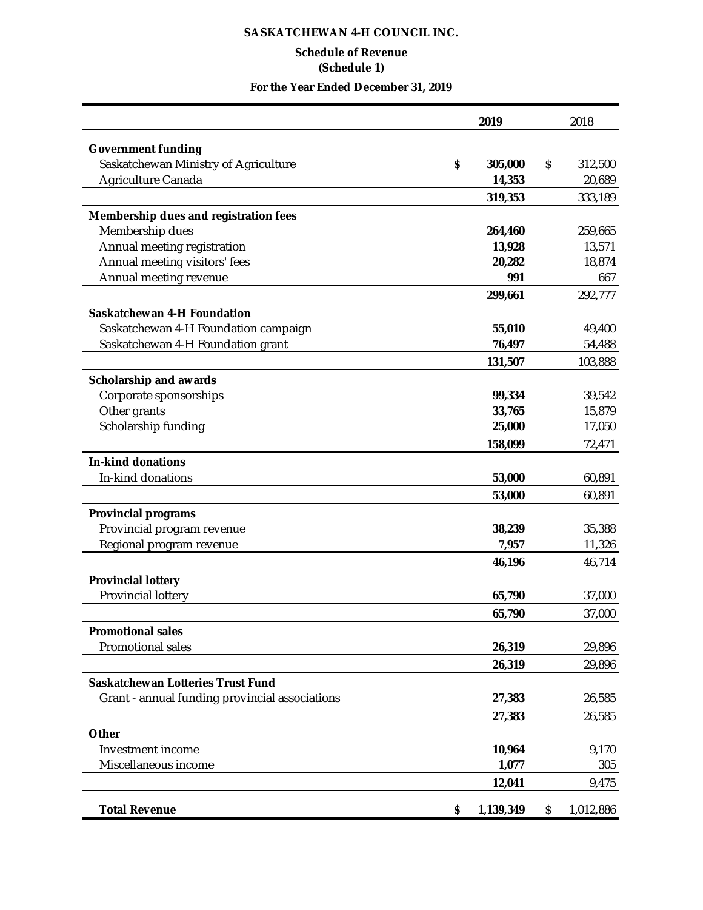## **Schedule of Revenue (Schedule 1) For the Year Ended December 31, 2019**

|                                                | 2019            | 2018            |  |
|------------------------------------------------|-----------------|-----------------|--|
| Government funding                             |                 |                 |  |
| Saskatchewan Ministry of Agriculture           | \$<br>305,000   | \$<br>312,500   |  |
| Agriculture Canada                             | 14,353          | 20,689          |  |
|                                                | 319,353         | 333,189         |  |
| Membership dues and registration fees          |                 |                 |  |
| Membership dues                                | 264,460         | 259,665         |  |
| Annual meeting registration                    | 13,928          | 13,571          |  |
| Annual meeting visitors' fees                  | 20,282          | 18,874          |  |
| Annual meeting revenue                         | 991             | 667             |  |
|                                                | 299,661         | 292,777         |  |
| Saskatchewan 4-H Foundation                    |                 |                 |  |
| Saskatchewan 4-H Foundation campaign           | 55,010          | 49,400          |  |
| Saskatchewan 4-H Foundation grant              | 76,497          | 54,488          |  |
|                                                | 131,507         | 103,888         |  |
| Scholarship and awards                         |                 |                 |  |
| Corporate sponsorships                         | 99,334          | 39,542          |  |
| Other grants                                   | 33,765          | 15,879          |  |
| Scholarship funding                            | 25,000          | 17,050          |  |
|                                                | 158,099         | 72,471          |  |
| In-kind donations                              |                 |                 |  |
| In-kind donations                              | 53,000          | 60,891          |  |
|                                                | 53,000          | 60,891          |  |
| Provincial programs                            |                 |                 |  |
| Provincial program revenue                     | 38,239          | 35,388          |  |
| Regional program revenue                       | 7,957           | 11,326          |  |
|                                                | 46,196          | 46,714          |  |
| Provincial lottery                             |                 |                 |  |
| Provincial lottery                             | 65,790          | 37,000          |  |
|                                                | 65,790          | 37,000          |  |
| Promotional sales                              |                 |                 |  |
| Promotional sales                              | 26,319          | 29,896          |  |
|                                                | 26,319          | 29,896          |  |
| Saskatchewan Lotteries Trust Fund              |                 |                 |  |
| Grant - annual funding provincial associations | 27,383          | 26,585          |  |
|                                                | 27,383          | 26,585          |  |
| Other                                          |                 |                 |  |
| Investment income                              | 10,964          | 9,170           |  |
| Miscellaneous income                           | 1,077           | 305             |  |
|                                                | 12,041          | 9,475           |  |
| <b>Total Revenue</b>                           | \$<br>1,139,349 | \$<br>1,012,886 |  |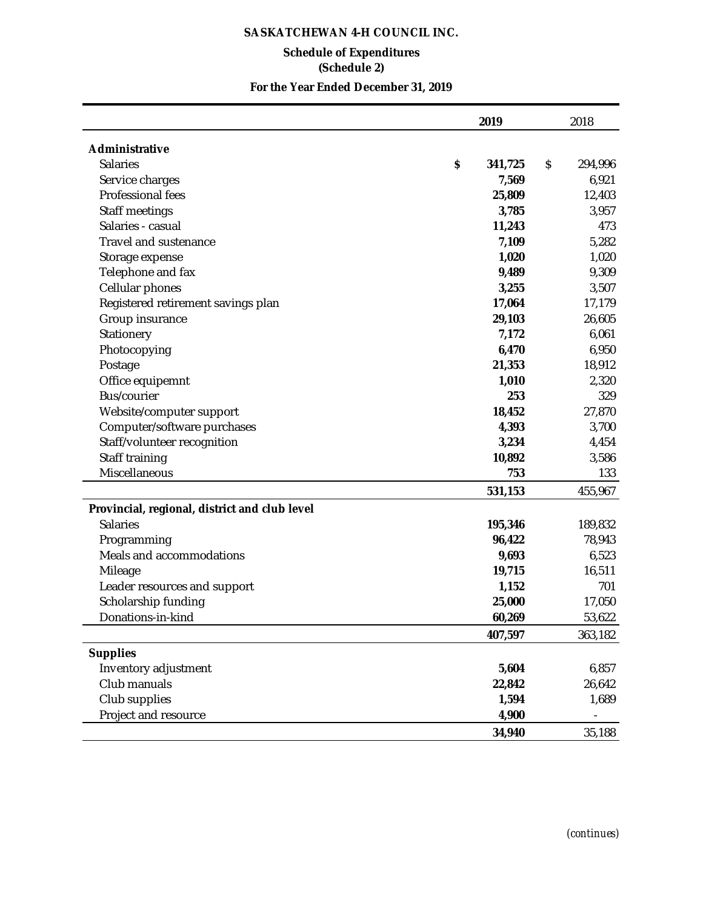## **Schedule of Expenditures (Schedule 2) For the Year Ended December 31, 2019**

|                                               | 2019          |    | 2018    |  |
|-----------------------------------------------|---------------|----|---------|--|
| Administrative                                |               |    |         |  |
| <b>Salaries</b>                               | \$<br>341,725 | \$ | 294,996 |  |
| Service charges                               | 7,569         |    | 6,921   |  |
| Professional fees                             | 25,809        |    | 12,403  |  |
| Staff meetings                                | 3,785         |    | 3,957   |  |
| Salaries - casual                             | 11,243        |    | 473     |  |
| Travel and sustenance                         | 7,109         |    | 5,282   |  |
| Storage expense                               | 1,020         |    | 1,020   |  |
| Telephone and fax                             | 9,489         |    | 9,309   |  |
| Cellular phones                               | 3,255         |    | 3,507   |  |
| Registered retirement savings plan            | 17,064        |    | 17,179  |  |
| Group insurance                               | 29,103        |    | 26,605  |  |
| Stationery                                    | 7,172         |    | 6,061   |  |
| Photocopying                                  | 6,470         |    | 6,950   |  |
| Postage                                       | 21,353        |    | 18,912  |  |
| Office equipemnt                              | 1,010         |    | 2,320   |  |
| Bus/courier                                   | 253           |    | 329     |  |
| Website/computer support                      | 18,452        |    | 27,870  |  |
| Computer/software purchases                   | 4,393         |    | 3,700   |  |
| Staff/volunteer recognition                   | 3,234         |    | 4,454   |  |
| Staff training                                | 10,892        |    | 3,586   |  |
| Miscellaneous                                 | 753           |    | 133     |  |
|                                               | 531,153       |    | 455,967 |  |
| Provincial, regional, district and club level |               |    |         |  |
| Salaries                                      | 195,346       |    | 189,832 |  |
| Programming                                   | 96,422        |    | 78,943  |  |
| Meals and accommodations                      | 9,693         |    | 6,523   |  |
| Mileage                                       | 19,715        |    | 16,511  |  |
| Leader resources and support                  | 1,152         |    | 701     |  |
| Scholarship funding                           | 25,000        |    | 17,050  |  |
| Donations-in-kind                             | 60,269        |    | 53,622  |  |
|                                               | 407,597       |    | 363,182 |  |
| Supplies                                      |               |    |         |  |
| Inventory adjustment                          | 5,604         |    | 6,857   |  |
| Club manuals                                  | 22,842        |    | 26,642  |  |
| Club supplies                                 | 1,594         |    | 1,689   |  |
| Project and resource                          | 4,900         |    |         |  |
|                                               | 34,940        |    | 35,188  |  |